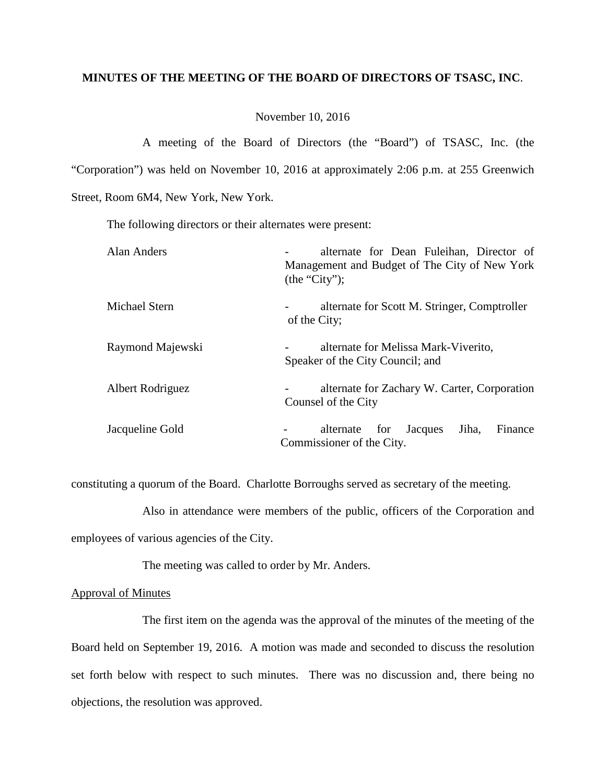# **MINUTES OF THE MEETING OF THE BOARD OF DIRECTORS OF TSASC, INC**.

## November 10, 2016

A meeting of the Board of Directors (the "Board") of TSASC, Inc. (the "Corporation") was held on November 10, 2016 at approximately 2:06 p.m. at 255 Greenwich Street, Room 6M4, New York, New York.

The following directors or their alternates were present:

| Alan Anders          | alternate for Dean Fuleihan, Director of<br>Management and Budget of The City of New York<br>(the "City"); |
|----------------------|------------------------------------------------------------------------------------------------------------|
| <b>Michael Stern</b> | alternate for Scott M. Stringer, Comptroller<br>of the City;                                               |
| Raymond Majewski     | alternate for Melissa Mark-Viverito,<br>Speaker of the City Council; and                                   |
| Albert Rodriguez     | alternate for Zachary W. Carter, Corporation<br>Counsel of the City                                        |
| Jacqueline Gold      | Jiha,<br>Finance<br>alternate for<br>Jacques<br>Commissioner of the City.                                  |

constituting a quorum of the Board. Charlotte Borroughs served as secretary of the meeting.

Also in attendance were members of the public, officers of the Corporation and employees of various agencies of the City.

The meeting was called to order by Mr. Anders.

# Approval of Minutes

The first item on the agenda was the approval of the minutes of the meeting of the Board held on September 19, 2016. A motion was made and seconded to discuss the resolution set forth below with respect to such minutes. There was no discussion and, there being no objections, the resolution was approved.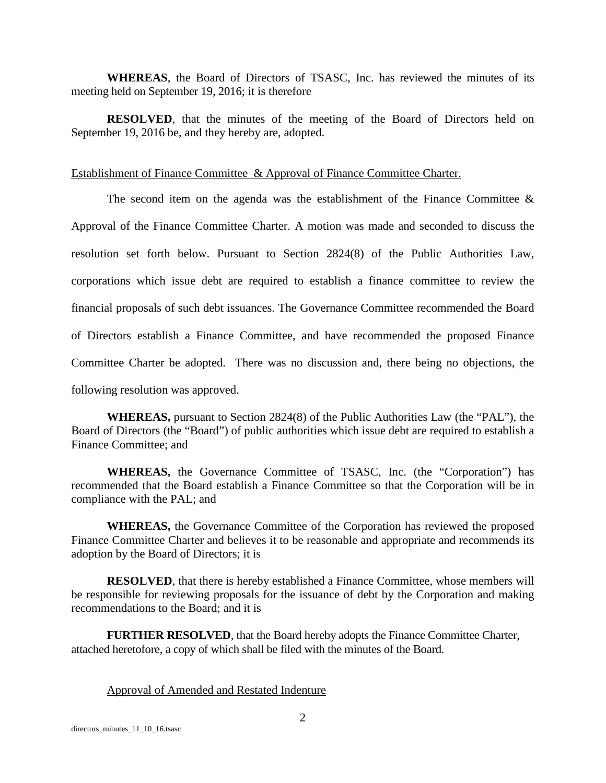**WHEREAS**, the Board of Directors of TSASC, Inc. has reviewed the minutes of its meeting held on September 19, 2016; it is therefore

**RESOLVED**, that the minutes of the meeting of the Board of Directors held on September 19, 2016 be, and they hereby are, adopted.

## Establishment of Finance Committee & Approval of Finance Committee Charter.

The second item on the agenda was the establishment of the Finance Committee  $\&$ Approval of the Finance Committee Charter. A motion was made and seconded to discuss the resolution set forth below. Pursuant to Section 2824(8) of the Public Authorities Law, corporations which issue debt are required to establish a finance committee to review the financial proposals of such debt issuances. The Governance Committee recommended the Board of Directors establish a Finance Committee, and have recommended the proposed Finance Committee Charter be adopted. There was no discussion and, there being no objections, the following resolution was approved.

**WHEREAS,** pursuant to Section 2824(8) of the Public Authorities Law (the "PAL"), the Board of Directors (the "Board") of public authorities which issue debt are required to establish a Finance Committee; and

**WHEREAS,** the Governance Committee of TSASC, Inc. (the "Corporation") has recommended that the Board establish a Finance Committee so that the Corporation will be in compliance with the PAL; and

**WHEREAS,** the Governance Committee of the Corporation has reviewed the proposed Finance Committee Charter and believes it to be reasonable and appropriate and recommends its adoption by the Board of Directors; it is

**RESOLVED**, that there is hereby established a Finance Committee, whose members will be responsible for reviewing proposals for the issuance of debt by the Corporation and making recommendations to the Board; and it is

**FURTHER RESOLVED**, that the Board hereby adopts the Finance Committee Charter, attached heretofore, a copy of which shall be filed with the minutes of the Board.

## Approval of Amended and Restated Indenture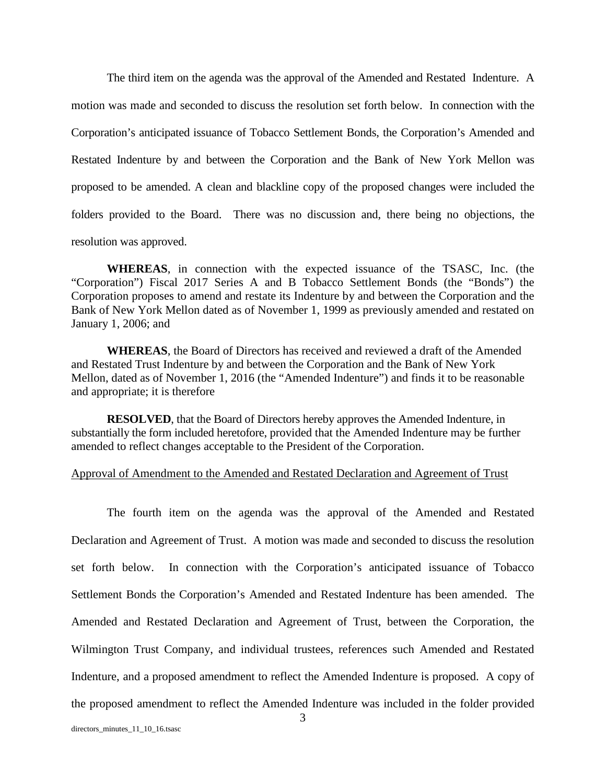The third item on the agenda was the approval of the Amended and Restated Indenture. A motion was made and seconded to discuss the resolution set forth below. In connection with the Corporation's anticipated issuance of Tobacco Settlement Bonds, the Corporation's Amended and Restated Indenture by and between the Corporation and the Bank of New York Mellon was proposed to be amended. A clean and blackline copy of the proposed changes were included the folders provided to the Board. There was no discussion and, there being no objections, the resolution was approved.

**WHEREAS**, in connection with the expected issuance of the TSASC, Inc. (the "Corporation") Fiscal 2017 Series A and B Tobacco Settlement Bonds (the "Bonds") the Corporation proposes to amend and restate its Indenture by and between the Corporation and the Bank of New York Mellon dated as of November 1, 1999 as previously amended and restated on January 1, 2006; and

**WHEREAS**, the Board of Directors has received and reviewed a draft of the Amended and Restated Trust Indenture by and between the Corporation and the Bank of New York Mellon, dated as of November 1, 2016 (the "Amended Indenture") and finds it to be reasonable and appropriate; it is therefore

**RESOLVED**, that the Board of Directors hereby approves the Amended Indenture, in substantially the form included heretofore, provided that the Amended Indenture may be further amended to reflect changes acceptable to the President of the Corporation.

#### Approval of Amendment to the Amended and Restated Declaration and Agreement of Trust

The fourth item on the agenda was the approval of the Amended and Restated Declaration and Agreement of Trust. A motion was made and seconded to discuss the resolution set forth below. In connection with the Corporation's anticipated issuance of Tobacco Settlement Bonds the Corporation's Amended and Restated Indenture has been amended. The Amended and Restated Declaration and Agreement of Trust, between the Corporation, the Wilmington Trust Company, and individual trustees, references such Amended and Restated Indenture, and a proposed amendment to reflect the Amended Indenture is proposed. A copy of the proposed amendment to reflect the Amended Indenture was included in the folder provided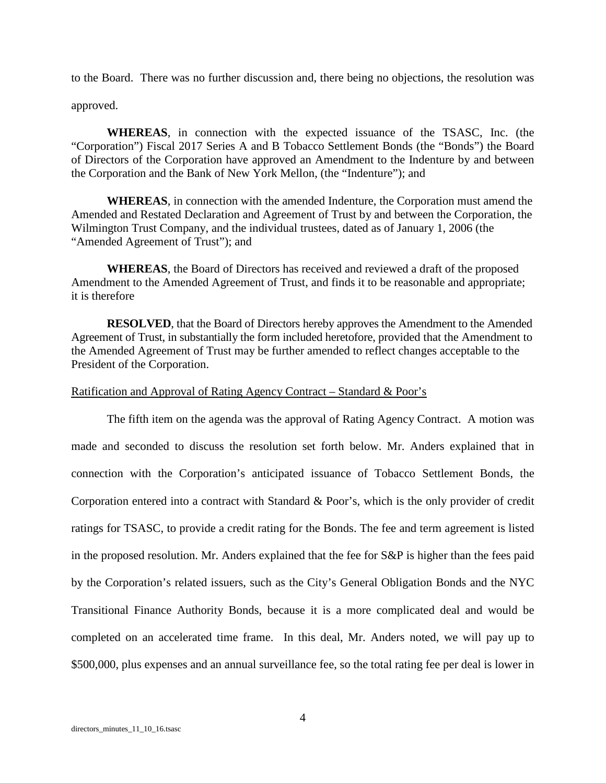to the Board. There was no further discussion and, there being no objections, the resolution was

approved.

**WHEREAS**, in connection with the expected issuance of the TSASC, Inc. (the "Corporation") Fiscal 2017 Series A and B Tobacco Settlement Bonds (the "Bonds") the Board of Directors of the Corporation have approved an Amendment to the Indenture by and between the Corporation and the Bank of New York Mellon, (the "Indenture"); and

**WHEREAS**, in connection with the amended Indenture, the Corporation must amend the Amended and Restated Declaration and Agreement of Trust by and between the Corporation, the Wilmington Trust Company, and the individual trustees, dated as of January 1, 2006 (the "Amended Agreement of Trust"); and

**WHEREAS**, the Board of Directors has received and reviewed a draft of the proposed Amendment to the Amended Agreement of Trust, and finds it to be reasonable and appropriate; it is therefore

**RESOLVED**, that the Board of Directors hereby approves the Amendment to the Amended Agreement of Trust, in substantially the form included heretofore, provided that the Amendment to the Amended Agreement of Trust may be further amended to reflect changes acceptable to the President of the Corporation.

## Ratification and Approval of Rating Agency Contract – Standard & Poor's

The fifth item on the agenda was the approval of Rating Agency Contract. A motion was made and seconded to discuss the resolution set forth below. Mr. Anders explained that in connection with the Corporation's anticipated issuance of Tobacco Settlement Bonds, the Corporation entered into a contract with Standard & Poor's, which is the only provider of credit ratings for TSASC, to provide a credit rating for the Bonds. The fee and term agreement is listed in the proposed resolution. Mr. Anders explained that the fee for S&P is higher than the fees paid by the Corporation's related issuers, such as the City's General Obligation Bonds and the NYC Transitional Finance Authority Bonds, because it is a more complicated deal and would be completed on an accelerated time frame. In this deal, Mr. Anders noted, we will pay up to \$500,000, plus expenses and an annual surveillance fee, so the total rating fee per deal is lower in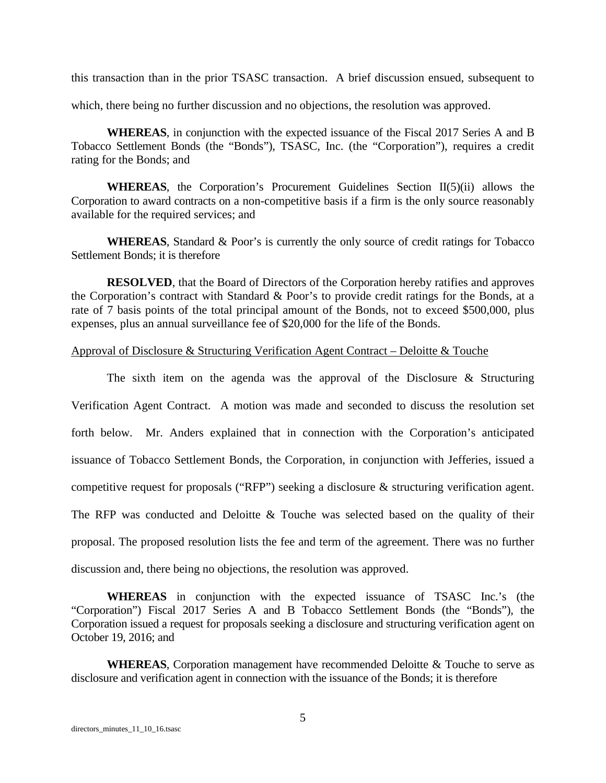this transaction than in the prior TSASC transaction. A brief discussion ensued, subsequent to

which, there being no further discussion and no objections, the resolution was approved.

**WHEREAS**, in conjunction with the expected issuance of the Fiscal 2017 Series A and B Tobacco Settlement Bonds (the "Bonds"), TSASC, Inc. (the "Corporation"), requires a credit rating for the Bonds; and

**WHEREAS**, the Corporation's Procurement Guidelines Section II(5)(ii) allows the Corporation to award contracts on a non-competitive basis if a firm is the only source reasonably available for the required services; and

WHEREAS, Standard & Poor's is currently the only source of credit ratings for Tobacco Settlement Bonds; it is therefore

**RESOLVED**, that the Board of Directors of the Corporation hereby ratifies and approves the Corporation's contract with Standard & Poor's to provide credit ratings for the Bonds, at a rate of 7 basis points of the total principal amount of the Bonds, not to exceed \$500,000, plus expenses, plus an annual surveillance fee of \$20,000 for the life of the Bonds.

#### Approval of Disclosure & Structuring Verification Agent Contract – Deloitte & Touche

The sixth item on the agenda was the approval of the Disclosure  $\&$  Structuring Verification Agent Contract. A motion was made and seconded to discuss the resolution set forth below. Mr. Anders explained that in connection with the Corporation's anticipated issuance of Tobacco Settlement Bonds, the Corporation, in conjunction with Jefferies, issued a competitive request for proposals ("RFP") seeking a disclosure & structuring verification agent. The RFP was conducted and Deloitte & Touche was selected based on the quality of their proposal. The proposed resolution lists the fee and term of the agreement. There was no further discussion and, there being no objections, the resolution was approved.

**WHEREAS** in conjunction with the expected issuance of TSASC Inc.'s (the "Corporation") Fiscal 2017 Series A and B Tobacco Settlement Bonds (the "Bonds"), the Corporation issued a request for proposals seeking a disclosure and structuring verification agent on October 19, 2016; and

**WHEREAS**, Corporation management have recommended Deloitte & Touche to serve as disclosure and verification agent in connection with the issuance of the Bonds; it is therefore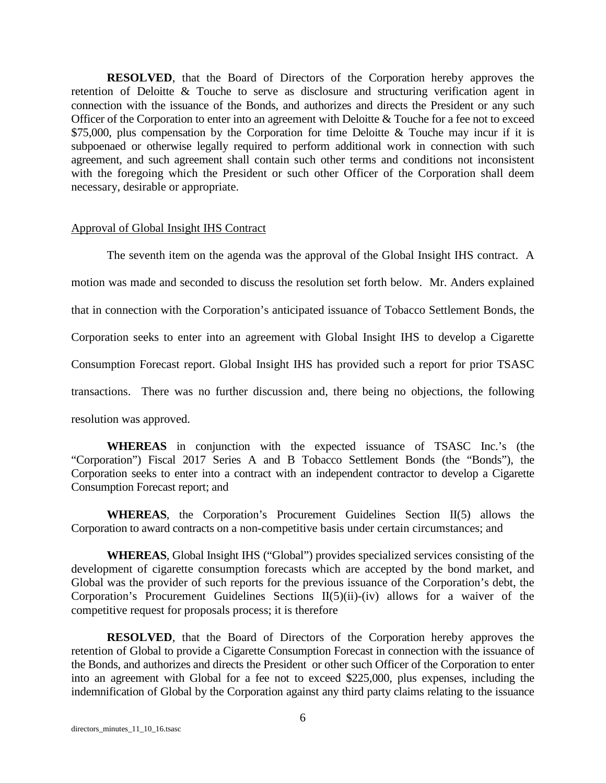**RESOLVED**, that the Board of Directors of the Corporation hereby approves the retention of Deloitte & Touche to serve as disclosure and structuring verification agent in connection with the issuance of the Bonds, and authorizes and directs the President or any such Officer of the Corporation to enter into an agreement with Deloitte & Touche for a fee not to exceed \$75,000, plus compensation by the Corporation for time Deloitte  $\&$  Touche may incur if it is subpoenaed or otherwise legally required to perform additional work in connection with such agreement, and such agreement shall contain such other terms and conditions not inconsistent with the foregoing which the President or such other Officer of the Corporation shall deem necessary, desirable or appropriate.

#### Approval of Global Insight IHS Contract

The seventh item on the agenda was the approval of the Global Insight IHS contract. A motion was made and seconded to discuss the resolution set forth below. Mr. Anders explained that in connection with the Corporation's anticipated issuance of Tobacco Settlement Bonds, the Corporation seeks to enter into an agreement with Global Insight IHS to develop a Cigarette Consumption Forecast report. Global Insight IHS has provided such a report for prior TSASC transactions. There was no further discussion and, there being no objections, the following resolution was approved.

**WHEREAS** in conjunction with the expected issuance of TSASC Inc.'s (the "Corporation") Fiscal 2017 Series A and B Tobacco Settlement Bonds (the "Bonds"), the Corporation seeks to enter into a contract with an independent contractor to develop a Cigarette Consumption Forecast report; and

**WHEREAS**, the Corporation's Procurement Guidelines Section II(5) allows the Corporation to award contracts on a non-competitive basis under certain circumstances; and

**WHEREAS**, Global Insight IHS ("Global") provides specialized services consisting of the development of cigarette consumption forecasts which are accepted by the bond market, and Global was the provider of such reports for the previous issuance of the Corporation's debt, the Corporation's Procurement Guidelines Sections  $II(5)(ii)$ -(iv) allows for a waiver of the competitive request for proposals process; it is therefore

**RESOLVED**, that the Board of Directors of the Corporation hereby approves the retention of Global to provide a Cigarette Consumption Forecast in connection with the issuance of the Bonds, and authorizes and directs the President or other such Officer of the Corporation to enter into an agreement with Global for a fee not to exceed \$225,000, plus expenses, including the indemnification of Global by the Corporation against any third party claims relating to the issuance